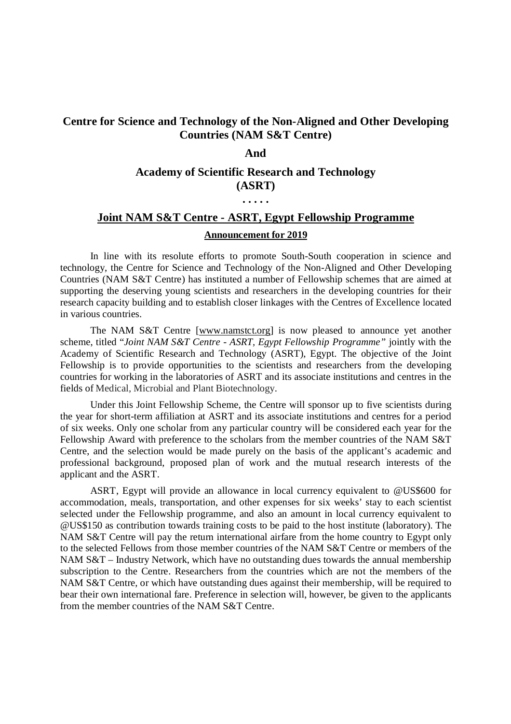# **Centre for Science and Technology of the Non-Aligned and Other Developing Countries (NAM S&T Centre)**

#### **And**

# **Academy of Scientific Research and Technology (ASRT)**

**. . . . .**

# **Joint NAM S&T Centre - ASRT, Egypt Fellowship Programme Announcement for 2019**

In line with its resolute efforts to promote South-South cooperation in science and technology, the Centre for Science and Technology of the Non-Aligned and Other Developing Countries (NAM S&T Centre) has instituted a number of Fellowship schemes that are aimed at supporting the deserving young scientists and researchers in the developing countries for their research capacity building and to establish closer linkages with the Centres of Excellence located in various countries.

The NAM S&T Centre [www.namstct.org] is now pleased to announce yet another scheme, titled "*Joint NAM S&T Centre - ASRT, Egypt Fellowship Programme"* jointly with the Academy of Scientific Research and Technology (ASRT), Egypt. The objective of the Joint Fellowship is to provide opportunities to the scientists and researchers from the developing countries for working in the laboratories of ASRT and its associate institutions and centres in the fields of Medical, Microbial and Plant Biotechnology.

Under this Joint Fellowship Scheme, the Centre will sponsor up to five scientists during the year for short-term affiliation at ASRT and its associate institutions and centres for a period of six weeks. Only one scholar from any particular country will be considered each year for the Fellowship Award with preference to the scholars from the member countries of the NAM S&T Centre, and the selection would be made purely on the basis of the applicant's academic and professional background, proposed plan of work and the mutual research interests of the applicant and the ASRT.

ASRT, Egypt will provide an allowance in local currency equivalent to @US\$600 for accommodation, meals, transportation, and other expenses for six weeks' stay to each scientist selected under the Fellowship programme, and also an amount in local currency equivalent to @US\$150 as contribution towards training costs to be paid to the host institute (laboratory). The NAM S&T Centre will pay the return international airfare from the home country to Egypt only to the selected Fellows from those member countries of the NAM S&T Centre or members of the NAM S&T – Industry Network, which have no outstanding dues towards the annual membership subscription to the Centre. Researchers from the countries which are not the members of the NAM S&T Centre, or which have outstanding dues against their membership, will be required to bear their own international fare. Preference in selection will, however, be given to the applicants from the member countries of the NAM S&T Centre.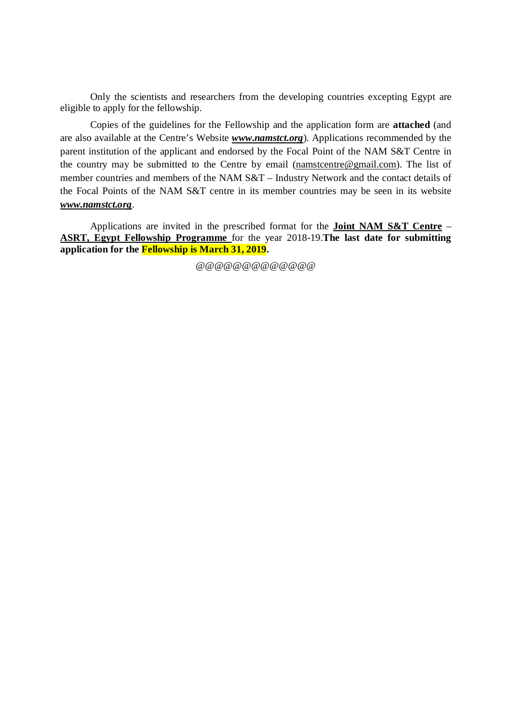Only the scientists and researchers from the developing countries excepting Egypt are eligible to apply for the fellowship.

Copies of the guidelines for the Fellowship and the application form are **attached** (and are also available at the Centre's Website *www.namstct.org*). Applications recommended by the parent institution of the applicant and endorsed by the Focal Point of the NAM S&T Centre in the country may be submitted to the Centre by email (namstcentre@gmail.com). The list of member countries and members of the NAM S&T – Industry Network and the contact details of the Focal Points of the NAM S&T centre in its member countries may be seen in its website *www.namstct.org*.

Applications are invited in the prescribed format for the **Joint NAM S&T Centre** – **ASRT, Egypt Fellowship Programme** for the year 2018-19.**The last date for submitting application for the Fellowship is March 31, 2019.**

@@@@@@@@@@@@@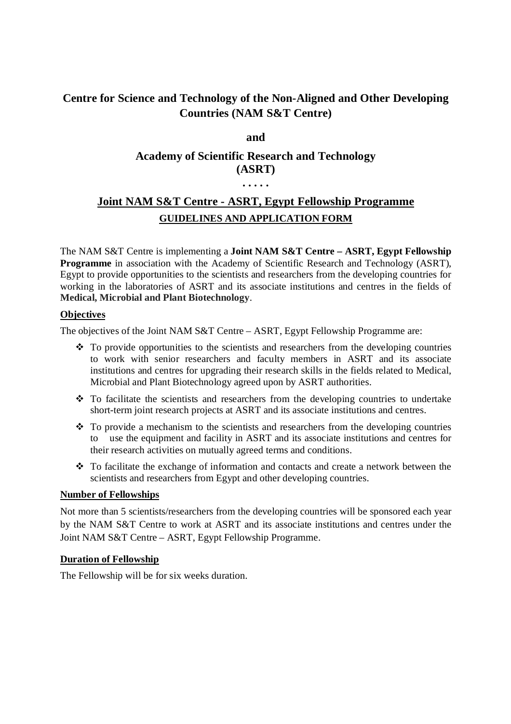# **Centre for Science and Technology of the Non-Aligned and Other Developing Countries (NAM S&T Centre)**

**and**

# **Academy of Scientific Research and Technology (ASRT)**

# **. . . . .**

# **Joint NAM S&T Centre - ASRT, Egypt Fellowship Programme GUIDELINES AND APPLICATION FORM**

The NAM S&T Centre is implementing a **Joint NAM S&T Centre – ASRT, Egypt Fellowship Programme** in association with the Academy of Scientific Research and Technology (ASRT), Egypt to provide opportunities to the scientists and researchers from the developing countries for working in the laboratories of ASRT and its associate institutions and centres in the fields of **Medical, Microbial and Plant Biotechnology**.

## **Objectives**

The objectives of the Joint NAM S&T Centre – ASRT, Egypt Fellowship Programme are:

- $\cdot \cdot$  To provide opportunities to the scientists and researchers from the developing countries to work with senior researchers and faculty members in ASRT and its associate institutions and centres for upgrading their research skills in the fields related to Medical, Microbial and Plant Biotechnology agreed upon by ASRT authorities.
- $\hat{\cdot}$  To facilitate the scientists and researchers from the developing countries to undertake short-term joint research projects at ASRT and its associate institutions and centres.
- \* To provide a mechanism to the scientists and researchers from the developing countries to use the equipment and facility in ASRT and its associate institutions and centres for their research activities on mutually agreed terms and conditions.
- To facilitate the exchange of information and contacts and create a network between the scientists and researchers from Egypt and other developing countries.

## **Number of Fellowships**

Not more than 5 scientists/researchers from the developing countries will be sponsored each year by the NAM S&T Centre to work at ASRT and its associate institutions and centres under the Joint NAM S&T Centre – ASRT, Egypt Fellowship Programme.

### **Duration of Fellowship**

The Fellowship will be for six weeks duration.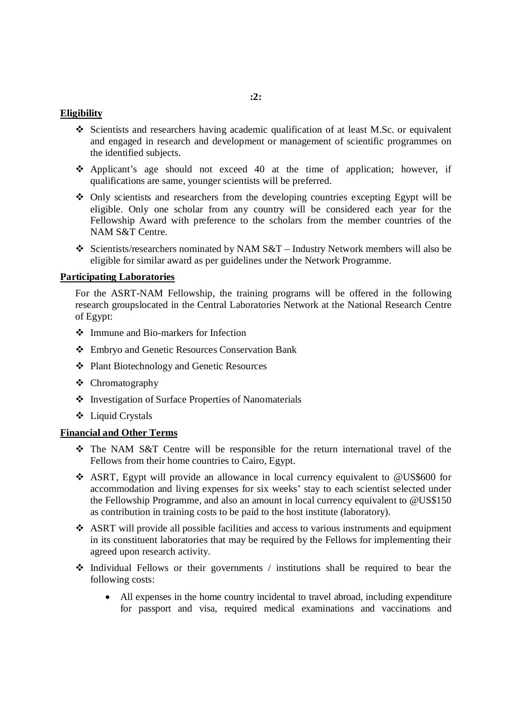### **:2:**

#### **Eligibility**

- Scientists and researchers having academic qualification of at least M.Sc. or equivalent and engaged in research and development or management of scientific programmes on the identified subjects.
- Applicant's age should not exceed 40 at the time of application; however, if qualifications are same, younger scientists will be preferred.
- Only scientists and researchers from the developing countries excepting Egypt will be eligible. Only one scholar from any country will be considered each year for the Fellowship Award with preference to the scholars from the member countries of the NAM S&T Centre.
- Scientists/researchers nominated by NAM S&T Industry Network members will also be eligible for similar award as per guidelines under the Network Programme.

#### **Participating Laboratories**

For the ASRT-NAM Fellowship, the training programs will be offered in the following research groupslocated in the Central Laboratories Network at the National Research Centre of Egypt:

- Immune and Bio-markers for Infection
- Embryo and Genetic Resources Conservation Bank
- Plant Biotechnology and Genetic Resources
- Chromatography
- Investigation of Surface Properties of Nanomaterials
- Liquid Crystals

#### **Financial and Other Terms**

- The NAM S&T Centre will be responsible for the return international travel of the Fellows from their home countries to Cairo, Egypt.
- ASRT, Egypt will provide an allowance in local currency equivalent to @US\$600 for accommodation and living expenses for six weeks' stay to each scientist selected under the Fellowship Programme, and also an amount in local currency equivalent to @US\$150 as contribution in training costs to be paid to the host institute (laboratory).
- $\triangle$  ASRT will provide all possible facilities and access to various instruments and equipment in its constituent laboratories that may be required by the Fellows for implementing their agreed upon research activity.
- $\div$  Individual Fellows or their governments / institutions shall be required to bear the following costs:
	- All expenses in the home country incidental to travel abroad, including expenditure for passport and visa, required medical examinations and vaccinations and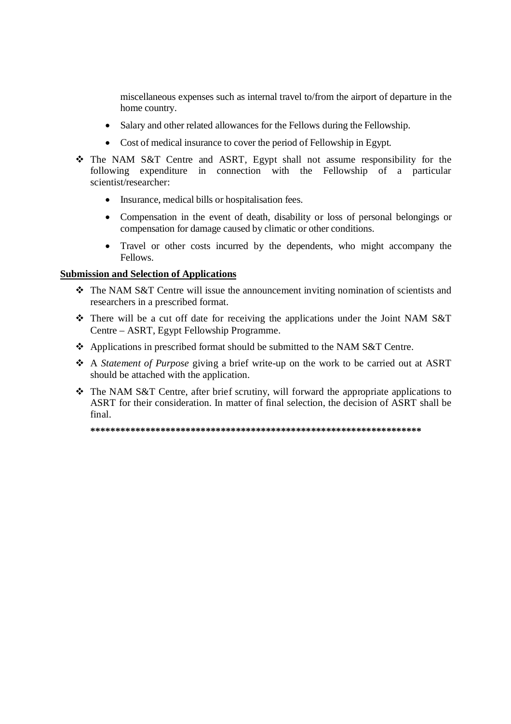miscellaneous expenses such as internal travel to/from the airport of departure in the home country.

- Salary and other related allowances for the Fellows during the Fellowship.
- Cost of medical insurance to cover the period of Fellowship in Egypt.
- The NAM S&T Centre and ASRT, Egypt shall not assume responsibility for the following expenditure in connection with the Fellowship of a particular scientist/researcher:
	- $\bullet$ Insurance, medical bills or hospitalisation fees.
	- Compensation in the event of death, disability or loss of personal belongings or  $\bullet$ compensation for damage caused by climatic or other conditions.
	- Travel or other costs incurred by the dependents, who might accompany the Fellows.

## **Submission and Selection of Applications**

- The NAM S&T Centre will issue the announcement inviting nomination of scientists and researchers in a prescribed format.
- $\div$  There will be a cut off date for receiving the applications under the Joint NAM S&T Centre – ASRT, Egypt Fellowship Programme.
- $\div$  Applications in prescribed format should be submitted to the NAM S&T Centre.
- A Statement of Purpose giving a brief write-up on the work to be carried out at ASRT should be attached with the application.
- The NAM S&T Centre, after brief scrutiny, will forward the appropriate applications to ASRT for their consideration. In matter of final selection, the decision of ASRT shall be final.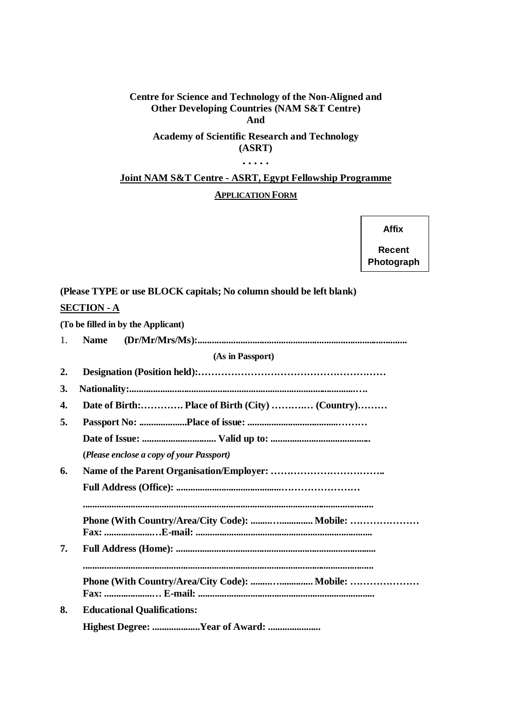#### **Centre for Science and Technology of the Non-Aligned and Other Developing Countries (NAM S&T Centre) And**

## **Academy of Scientific Research and Technology (ASRT)**

#### **. . . . .**

# **Joint NAM S&T Centre - ASRT, Egypt Fellowship Programme APPLICATION FORM**

#### **Affix**

**Recent Photograph**

# **(Please TYPE or use BLOCK capitals; No column should be left blank)**

## **SECTION - A**

|              | (To be filled in by the Applicant)              |  |
|--------------|-------------------------------------------------|--|
| 1.           | <b>Name</b>                                     |  |
|              | (As in Passport)                                |  |
| $\mathbf{2}$ |                                                 |  |
| 3.           |                                                 |  |
| 4.           | Date of Birth: Place of Birth (City)  (Country) |  |
| 5.           |                                                 |  |
|              |                                                 |  |
|              | (Please enclose a copy of your Passport)        |  |
| 6.           |                                                 |  |
|              |                                                 |  |
|              |                                                 |  |
| 7.           |                                                 |  |
|              |                                                 |  |
|              |                                                 |  |
| 8.           | <b>Educational Qualifications:</b>              |  |
|              | Highest Degree: Year of Award:                  |  |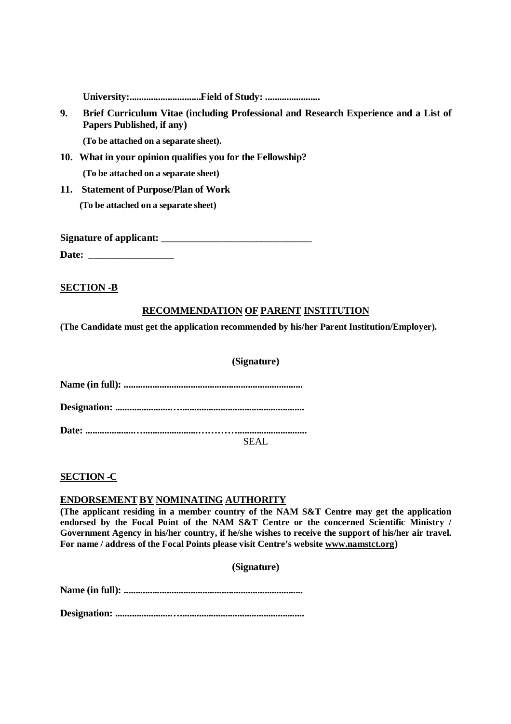**University:..............................Field of Study: .......................**

**9. Brief Curriculum Vitae (including Professional and Research Experience and a List of Papers Published, if any)** 

**(To be attached on a separate sheet).**

- **10. What in your opinion qualifies you for the Fellowship? (To be attached on a separate sheet)**
- **11. Statement of Purpose/Plan of Work (To be attached on a separate sheet)**

Signature of applicant:

**Date: \_\_\_\_\_\_\_\_\_\_\_\_\_\_\_\_\_**

**SECTION -B**

## **RECOMMENDATION OF PARENT INSTITUTION**

**(The Candidate must get the application recommended by his/her Parent Institution/Employer).**

#### **(Signature)**

**Name (in full): ...........................................................................**

**Designation: .......................…....................................................**

**Date: ....................….......................………….............................**

SEAL

### **SECTION -C**

### **ENDORSEMENT BY NOMINATING AUTHORITY**

**(The applicant residing in a member country of the NAM S&T Centre may get the application endorsed by the Focal Point of the NAM S&T Centre or the concerned Scientific Ministry / Government Agency in his/her country, if he/she wishes to receive the support of his/her air travel. For name / address of the Focal Points please visit Centre's website www.namstct.org)**

**(Signature)**

**Name (in full): ...........................................................................**

**Designation: .......................…....................................................**